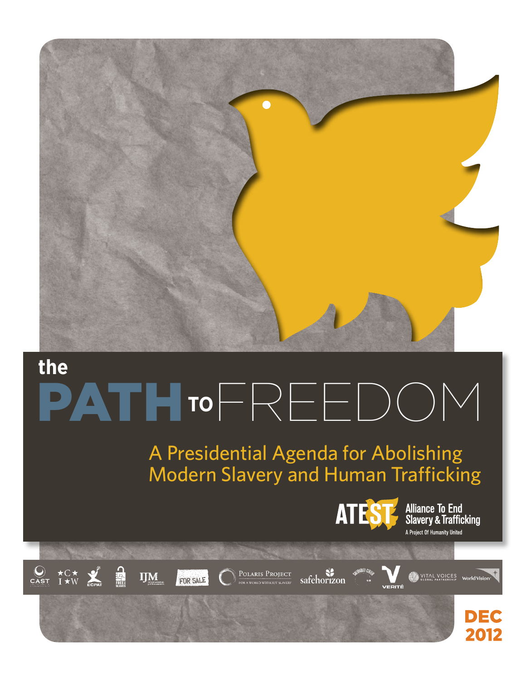

# PATH**TO**FREEDOM **the**

# A Presidential Agenda for Abolishing Modern Slavery and Human Trafficking



**Alliance To End<br>Slavery & Trafficking** A Project Of Humanity United









safehorizon





2012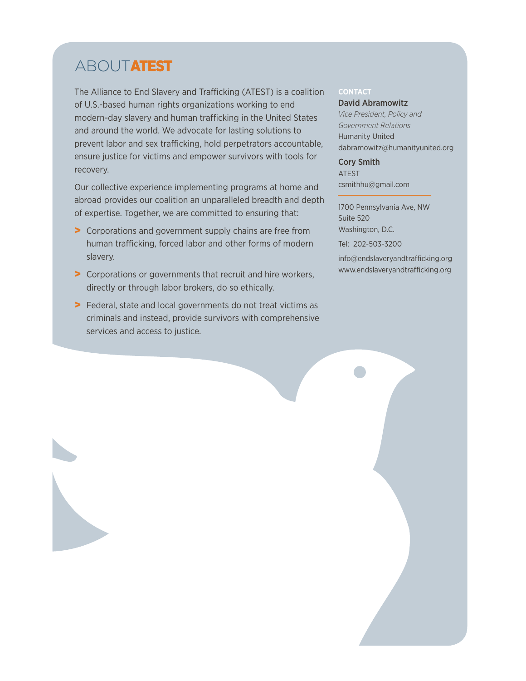# **ABOUTATEST**

The Alliance to End Slavery and Trafficking (ATEST) is a coalition of U.S.-based human rights organizations working to end modern-day slavery and human trafficking in the United States and around the world. We advocate for lasting solutions to prevent labor and sex trafficking, hold perpetrators accountable, ensure justice for victims and empower survivors with tools for recovery.

Our collective experience implementing programs at home and abroad provides our coalition an unparalleled breadth and depth of expertise. Together, we are committed to ensuring that:

- > Corporations and government supply chains are free from human trafficking, forced labor and other forms of modern slavery.
- > Corporations or governments that recruit and hire workers, directly or through labor brokers, do so ethically.
- > Federal, state and local governments do not treat victims as criminals and instead, provide survivors with comprehensive services and access to justice.

#### **Contact**

David Abramowitz *Vice President, Policy and Government Relations* Humanity United dabramowitz@humanityunited.org

Cory Smith ATEST csmithhu@gmail.com

1700 Pennsylvania Ave, NW Suite 520 Washington, D.C. Tel: 202-503-3200 info@endslaveryandtrafficking.org www.endslaveryandtrafficking.org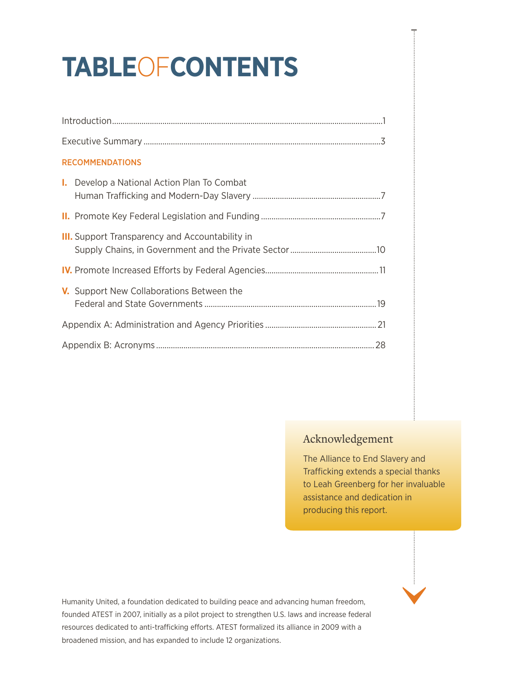# **Table**of**Contents**

| <b>RECOMMENDATIONS</b>                                 |
|--------------------------------------------------------|
| <b>I.</b> Develop a National Action Plan To Combat     |
|                                                        |
| <b>III.</b> Support Transparency and Accountability in |
|                                                        |
| V. Support New Collaborations Between the              |
|                                                        |
|                                                        |

# Acknowledgement

The Alliance to End Slavery and Trafficking extends a special thanks to Leah Greenberg for her invaluable assistance and dedication in producing this report.

Humanity United, a foundation dedicated to building peace and advancing human freedom, founded ATEST in 2007, initially as a pilot project to strengthen U.S. laws and increase federal resources dedicated to anti-trafficking efforts. ATEST formalized its alliance in 2009 with a broadened mission, and has expanded to include 12 organizations.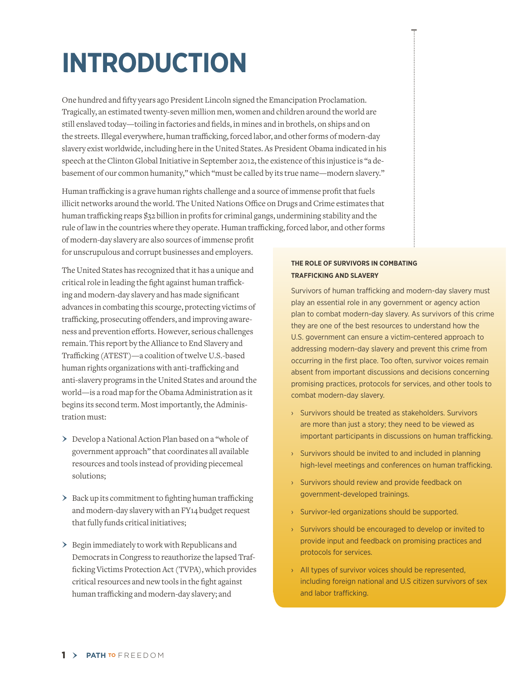# **Introduction**

One hundred and fifty years ago President Lincoln signed the Emancipation Proclamation. Tragically, an estimated twenty-seven million men, women and children around the world are still enslaved today—toiling in factories and fields, in mines and in brothels, on ships and on the streets. Illegal everywhere, human trafficking, forced labor, and other forms of modern-day slavery exist worldwide, including here in the United States. As President Obama indicated in his speech at the Clinton Global Initiative in September 2012, the existence of this injustice is "a debasement of our common humanity," which "must be called by its true name—modern slavery."

Human trafficking is a grave human rights challenge and a source of immense profit that fuels illicit networks around the world. The United Nations Office on Drugs and Crime estimates that human trafficking reaps \$32 billion in profits for criminal gangs, undermining stability and the rule of law in the countries where they operate. Human trafficking, forced labor, and other forms

of modern-day slavery are also sources of immense profit for unscrupulous and corrupt businesses and employers.

The United States has recognized that it has a unique and critical role in leading the fight against human trafficking and modern-day slavery and has made significant advances in combating this scourge, protecting victims of trafficking, prosecuting offenders, and improving awareness and prevention efforts. However, serious challenges remain. This report by the Alliance to End Slavery and Trafficking (ATEST)—a coalition of twelve U.S.-based human rights organizations with anti-trafficking and anti-slavery programs in the United States and around the world—is a road map for the Obama Administration as it begins its second term. Most importantly, the Administration must:

- › Develop a National Action Plan based on a "whole of government approach" that coordinates all available resources and tools instead of providing piecemeal solutions;
- > Back up its commitment to fighting human trafficking and modern-day slavery with an FY14 budget request that fully funds critical initiatives;
- › Begin immediately to work with Republicans and Democrats in Congress to reauthorize the lapsed Trafficking Victims Protection Act (TVPA), which provides critical resources and new tools in the fight against human trafficking and modern-day slavery; and

#### **The Role of Survivors in Combating Trafficking and Slavery**

Survivors of human trafficking and modern-day slavery must play an essential role in any government or agency action plan to combat modern-day slavery. As survivors of this crime they are one of the best resources to understand how the U.S. government can ensure a victim-centered approach to addressing modern-day slavery and prevent this crime from occurring in the first place. Too often, survivor voices remain absent from important discussions and decisions concerning promising practices, protocols for services, and other tools to combat modern-day slavery.

- › Survivors should be treated as stakeholders. Survivors are more than just a story; they need to be viewed as important participants in discussions on human trafficking.
- › Survivors should be invited to and included in planning high-level meetings and conferences on human trafficking.
- › Survivors should review and provide feedback on government-developed trainings.
- › Survivor-led organizations should be supported.
- › Survivors should be encouraged to develop or invited to provide input and feedback on promising practices and protocols for services.
- › All types of survivor voices should be represented, including foreign national and U.S citizen survivors of sex and labor trafficking.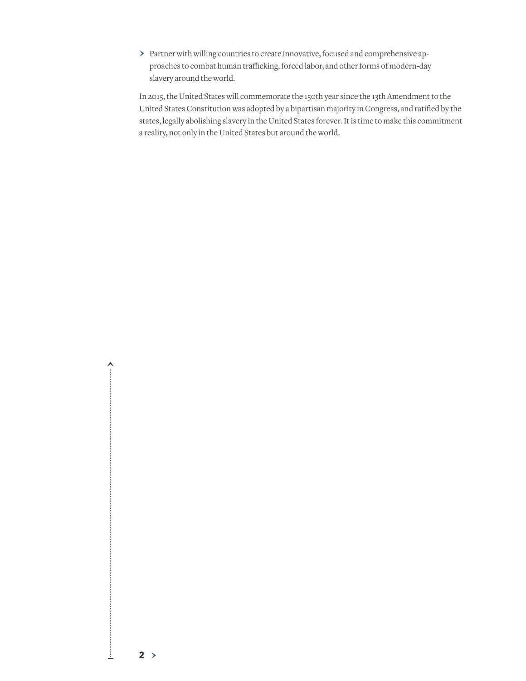› Partner with willing countries to create innovative, focused and comprehensive approaches to combat human trafficking, forced labor, and other forms of modern-day slavery around the world.

 $2 >$ 

↨

 $\hat{\cdot}$ 

In 2015, the United States will commemorate the 150th year since the 13th Amendment to the United States Constitution was adopted by a bipartisan majority in Congress, and ratified by the states, legally abolishing slavery in the United States forever. It is time to make this commitment a reality, not only in the United States but around the world.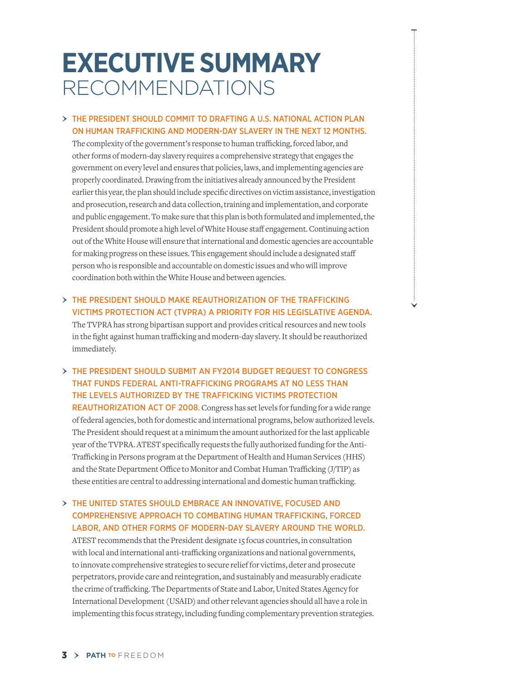# **Executive Summary** Recommendations

#### $>$  THE PRESIDENT SHOULD COMMIT TO DRAFTING A U.S. NATIONAL ACTION PLAN on Human Trafficking and Modern-Day Slavery in the next 12 months.

The complexity of the government's response to human trafficking, forced labor, and other forms of modern-day slavery requires a comprehensive strategy that engages the government on every level and ensures that policies, laws, and implementing agencies are properly coordinated. Drawing from the initiatives already announced by the President earlier this year, the plan should include specific directives on victim assistance, investigation and prosecution, research and data collection, training and implementation, and corporate and public engagement. To make sure that this plan is both formulated and implemented, the President should promote a high level of White House staff engagement.Continuing action out of the White House will ensure that international and domestic agencies are accountable for making progress on these issues. This engagement should include a designated staff person who is responsible and accountable on domestic issues and who will improve coordination both within the White House and between agencies.

#### $>$  THE PRESIDENT SHOULD MAKE REAUTHORIZATION OF THE TRAFFICKING Victims Protection Act (TVPRA) a priority for his legislative agenda. The TVPRA has strong bipartisan support and provides critical resources and new tools

in the fight against human trafficking and modern-day slavery. It should be reauthorized immediately.

### › The President should submit an FY2014 Budget Request to Congress that funds federal anti-trafficking programs at no less than the levels authorized by the Trafficking Victims Protection REAUTHORIZATION ACT OF 2008. Congress has set levels for funding for a wide range

of federal agencies, both for domestic and international programs, below authorized levels. The President should request at a minimum the amount authorized for the last applicable year of the TVPRA. ATEST specifically requests the fully authorized funding for the Anti-Trafficking in Persons program at the Department of Health and Human Services (HHS) and the State Department Office to Monitor and Combat Human Trafficking (J/TIP) as these entities are central to addressing international and domestic human trafficking.

## › The United States should embrace an innovative, focused and comprehensive approach to combating human trafficking, forced labor, and other forms of modern-day slavery around the world.

ATEST recommends that the President designate 15 focus countries, in consultation with local and international anti-trafficking organizations and national governments, to innovate comprehensive strategies to secure relief for victims, deter and prosecute perpetrators, provide care and reintegration, and sustainably and measurably eradicate the crime of trafficking. The Departments of State and Labor, United States Agency for International Development (USAID) and other relevant agencies should all have a role in implementing this focus strategy, including funding complementary prevention strategies.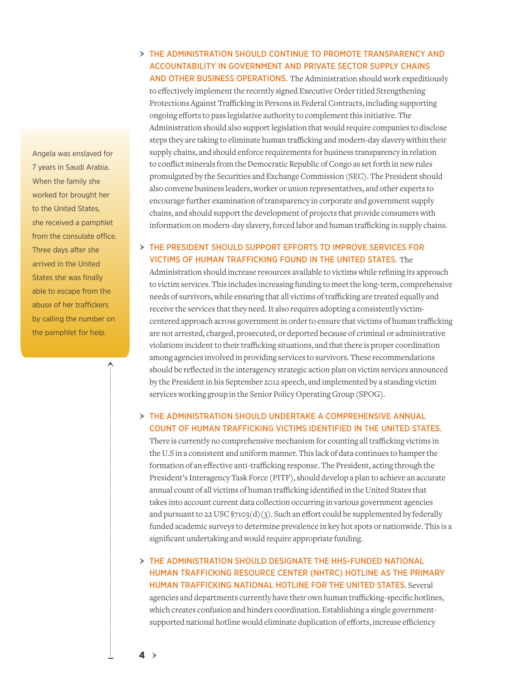Angela was enslaved for 7 years in Saudi Arabia. When the family she worked for brought her to the United States, she received a pamphlet from the consulate office. Three days after she arrived in the United States she was finally able to escape from the abuse of her traffickers by calling the number on the pamphlet for help.

 $\lambda$ 

# › The Administration should continue to promote transparency and accountability in government and private sector supply chains

AND OTHER BUSINESS OPERATIONS. The Administration should work expeditiously to effectively implement the recently signed Executive Order titled Strengthening Protections Against Trafficking in Persons in Federal Contracts, including supporting ongoing efforts to pass legislative authority to complement this initiative. The Administration should also support legislation that would require companies to disclose steps they are taking to eliminate human trafficking and modern-day slavery within their supply chains, and should enforce requirements for business transparency in relation to conflict minerals from the Democratic Republic of Congo as set forth in new rules promulgated by the Securities and Exchange Commission (SEC). The President should also convene business leaders, worker or union representatives, and other experts to encourage further examination of transparency in corporate and government supply chains, and should support the development of projects that provide consumers with information on modern-day slavery, forced labor and human trafficking in supply chains.

#### › The President should support efforts to improve services for victims of human trafficking found in the United States. The

Administration should increase resources available to victims while refining its approach to victim services. This includes increasing funding to meet the long-term, comprehensive needs of survivors, while ensuring that all victims of trafficking are treated equally and receive the services that they need. It also requires adopting a consistently victimcentered approach across government in order to ensure that victims of human trafficking are not arrested, charged, prosecuted, or deported because of criminal or administrative violations incident to their trafficking situations, and that there is proper coordination among agencies involved in providing services to survivors. These recommendations should be reflected in the interagency strategic action plan on victim services announced by the President in his September 2012 speech, and implemented by a standing victim services working group in the Senior Policy Operating Group (SPOG).

#### › The Administration should undertake a comprehensive annual count of human trafficking victims identified in the United States.

There is currently no comprehensive mechanism for counting all trafficking victims in the U.S in a consistent and uniform manner. This lack of data continues to hamper the formation of an effective anti-trafficking response. The President, acting through the President's Interagency Task Force (PITF), should develop a plan to achieve an accurate annual count of all victims of human trafficking identified in the United States that takes into account current data collection occurring in various government agencies and pursuant to 22 USC  $\frac{57103(d)}{3}$ . Such an effort could be supplemented by federally funded academic surveys to determine prevalence in key hot spots or nationwide. This is a significant undertaking and would require appropriate funding.

#### $>$  THE ADMINISTRATION SHOULD DESIGNATE THE HHS-FUNDED NATIONAL Human Trafficking Resource Center (NHTRC) hotline as the primary human trafficking national hotline for the United States. Several agencies and departments currently have their own human trafficking-specific hotlines,

which creates confusion and hinders coordination. Establishing a single governmentsupported national hotline would eliminate duplication of efforts, increase efficiency

4 ›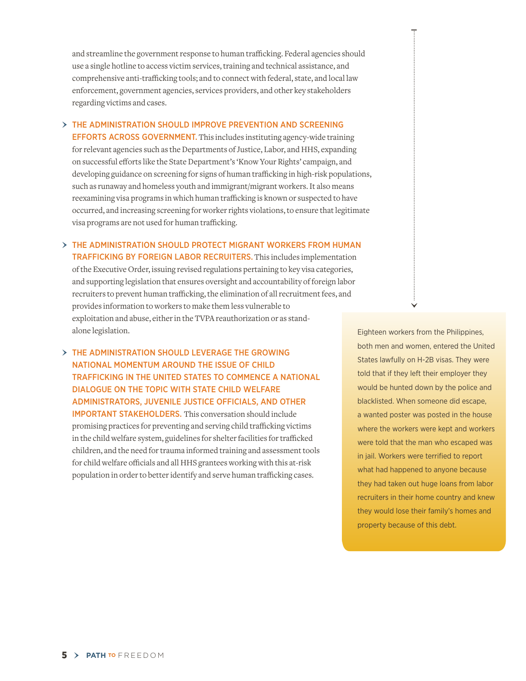and streamline the government response to human trafficking. Federal agencies should use a single hotline to access victim services, training and technical assistance, and comprehensive anti-trafficking tools; and to connect with federal, state, and local law enforcement, government agencies, services providers, and other key stakeholders regarding victims and cases.

 $>$  THE ADMINISTRATION SHOULD IMPROVE PREVENTION AND SCREENING

EFFORTS ACROSS GOVERNMENT. This includes instituting agency-wide training for relevant agencies such as the Departments of Justice, Labor, and HHS, expanding on successful efforts like the State Department's 'Know Your Rights' campaign, and developing guidance on screening for signs of human trafficking in high-risk populations, such as runaway and homeless youth and immigrant/migrant workers. It also means reexamining visa programs in which human trafficking is known or suspected to have occurred, and increasing screening for worker rights violations, to ensure that legitimate visa programs are not used for human trafficking.

 $>$  THE ADMINISTRATION SHOULD PROTECT MIGRANT WORKERS FROM HUMAN trafficking by foreign labor recruiters. This includes implementation of the Executive Order, issuing revised regulations pertaining to key visa categories, and supporting legislation that ensures oversight and accountability of foreign labor recruiters to prevent human trafficking, the elimination of all recruitment fees, and provides information to workers to make them less vulnerable to exploitation and abuse, either in the TVPA reauthorization or as standalone legislation.

› The Administration should leverage the growing national momentum around the issue of child trafficking in the United States to commence a national dialogue on the topic with state child welfare administrators, juvenile justice officials, and other important stakeholders. This conversation should include promising practices for preventing and serving child trafficking victims in the child welfare system, guidelines for shelter facilities for trafficked children, and the need for trauma informed training and assessment tools for child welfare officials and all HHS grantees working with this at-risk population in order to better identify and serve human trafficking cases.

Eighteen workers from the Philippines, both men and women, entered the United States lawfully on H-2B visas. They were told that if they left their employer they would be hunted down by the police and blacklisted. When someone did escape, a wanted poster was posted in the house where the workers were kept and workers were told that the man who escaped was in jail. Workers were terrified to report what had happened to anyone because they had taken out huge loans from labor recruiters in their home country and knew they would lose their family's homes and property because of this debt.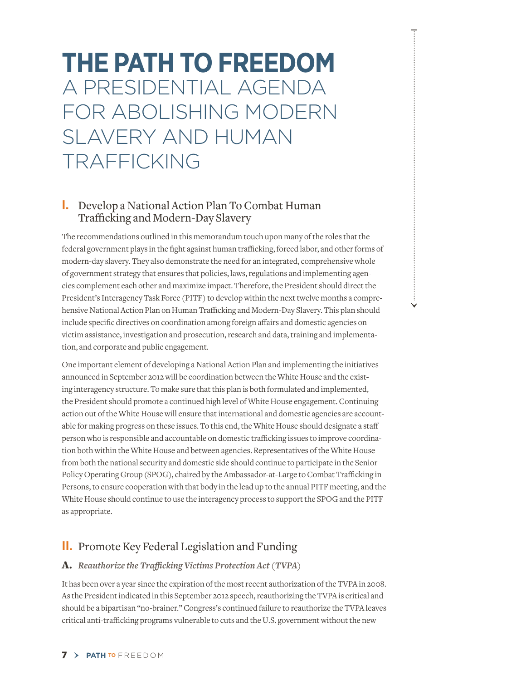# **The Path to Freedom** A Presidential Agenda for Abolishing Modern Slavery and Human Trafficking

# **Develop a National Action Plan To Combat Human** Trafficking and Modern-Day Slavery

The recommendations outlined in this memorandum touch upon many of the roles that the federal government plays in the fight against human trafficking, forced labor, and other forms of modern-day slavery. They also demonstrate the need for an integrated, comprehensive whole of government strategy that ensures that policies, laws, regulations and implementing agencies complement each other and maximize impact. Therefore, the President should direct the President's Interagency Task Force (PITF) to develop within the next twelve months a comprehensive National Action Plan on Human Trafficking and Modern-Day Slavery. This plan should include specific directives on coordination among foreign affairs and domestic agencies on victim assistance, investigation and prosecution, research and data, training and implementation, and corporate and public engagement.

One important element of developing a National Action Plan and implementing the initiatives announced in September 2012 will be coordination between the White House and the existing interagency structure. To make sure that this plan is both formulated and implemented, the President should promote a continued high level of White House engagement.Continuing action out of the White House will ensure that international and domestic agencies are accountable for making progress on these issues. To this end, the White House should designate a staff person who is responsible and accountable on domestic trafficking issues to improve coordination both within the White House and between agencies. Representatives of the White House from both the national security and domestic side should continue to participate in the Senior Policy Operating Group (SPOG), chaired by the Ambassador-at-Large to Combat Trafficking in Persons, to ensure cooperation with that body in the lead up to the annual PITF meeting, and the White House should continue to use the interagency process to support the SPOG and the PITF as appropriate.

# **II.** Promote Key Federal Legislation and Funding

#### A. *Reauthorize the Trafficking Victims Protection Act(TVPA)*

It has been over a year since the expiration of the most recent authorization of the TVPA in 2008. As the President indicated in this September 2012 speech, reauthorizing the TVPA is critical and should be a bipartisan "no-brainer." Congress's continued failure to reauthorize the TVPA leaves critical anti-trafficking programs vulnerable to cuts and the U.S. government without the new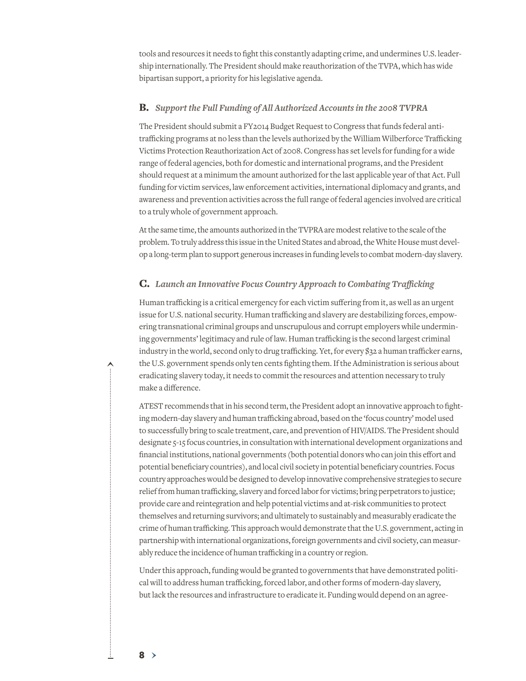tools and resources it needs to fight this constantly adapting crime, and undermines U.S. leadership internationally. The President should make reauthorization of the TVPA, which has wide bipartisan support, a priority for his legislative agenda.

#### B. *Support the Full Funding of All Authorized Accountsin the 2008 TVPRA*

The President should submit a FY2014 Budget Request to Congress that funds federal antitrafficking programs at no less than the levels authorized by the William Wilberforce Trafficking Victims Protection Reauthorization Act of 2008. Congress has set levels for funding for a wide range of federal agencies, both for domestic and international programs, and the President should request at a minimum the amount authorized for the last applicable year of that Act. Full funding for victim services, law enforcement activities, international diplomacy and grants, and awareness and prevention activities across the full range of federal agencies involved are critical to a truly whole of government approach.

At the same time, the amounts authorized in the TVPRA are modest relative to the scale of the problem. To truly address this issue in the United States and abroad, the White House must develop a long-term plan to support generous increases in funding levels to combat modern-day slavery.

#### C. *Launch an Innovative Focus Country Approach to Combating Trafficking*

Human trafficking is a critical emergency for each victim suffering from it, as well as an urgent issue for U.S. national security. Human trafficking and slavery are destabilizing forces, empowering transnational criminal groups and unscrupulous and corrupt employers while undermining governments' legitimacy and rule of law. Human trafficking is the second largest criminal industry in the world, second only to drug trafficking. Yet, for every \$32 a human trafficker earns, the U.S. government spends only ten cents fighting them. If the Administration is serious about eradicating slavery today, it needs to commit the resources and attention necessary to truly make a difference.

ATEST recommends that in his second term, the President adopt an innovative approach to fighting modern-day slavery and human trafficking abroad, based on the 'focus country' model used to successfully bring to scale treatment, care, and prevention of HIV/AIDS. The President should designate 5-15 focus countries, in consultation with international development organizations and financial institutions, national governments (both potential donors who can join this effort and potential beneficiary countries), and local civil society in potential beneficiary countries. Focus country approaches would be designed to develop innovative comprehensive strategies to secure relief from human trafficking, slavery and forced labor for victims; bring perpetrators to justice; provide care and reintegration and help potential victims and at-risk communities to protect themselves and returning survivors; and ultimately to sustainably and measurably eradicate the crime of human trafficking. This approach would demonstrate that the U.S. government, acting in partnership with international organizations, foreign governments and civil society, can measurably reduce the incidence of human trafficking in a country or region.

Under this approach, funding would be granted to governments that have demonstrated political will to address human trafficking, forced labor, and other forms of modern-day slavery, but lack the resources and infrastructure to eradicate it. Funding would depend on an agree-

8 ›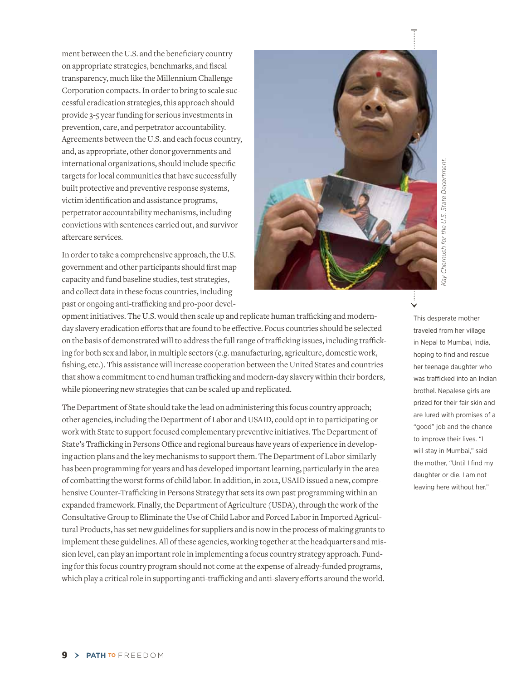ment between the U.S. and the beneficiary country on appropriate strategies, benchmarks, and fiscal transparency, much like the Millennium Challenge Corporation compacts. In order to bring to scale successful eradication strategies, this approach should provide 3-5 year funding for serious investments in prevention, care, and perpetrator accountability. Agreements between the U.S. and each focus country, and, as appropriate, other donor governments and international organizations, should include specific targets for local communities that have successfully built protective and preventive response systems, victim identification and assistance programs, perpetrator accountability mechanisms, including convictions with sentences carried out, and survivor aftercare services.

In order to take a comprehensive approach, the U.S. government and other participants should first map capacity and fund baseline studies, test strategies, and collect data in these focus countries, including past or ongoing anti-trafficking and pro-poor devel-



opment initiatives. The U.S. would then scale up and replicate human trafficking and modernday slavery eradication efforts that are found to be effective. Focus countries should be selected on the basis of demonstrated will to address the full range of trafficking issues, including trafficking for both sex and labor, in multiple sectors (e.g. manufacturing, agriculture, domestic work, fishing, etc.). This assistance will increase cooperation between the United States and countries that show a commitment to end human trafficking and modern-day slavery within their borders, while pioneering new strategies that can be scaled up and replicated.

The Department of State should take the lead on administering this focus country approach; other agencies, including the Department of Labor and USAID, could opt in to participating or work with State to support focused complementary preventive initiatives. The Department of State's Trafficking in Persons Office and regional bureaus have years of experience in developing action plans and the key mechanisms to support them. The Department of Labor similarly has been programming for years and has developed important learning, particularly in the area of combatting the worst forms of child labor. In addition, in 2012, USAID issued a new, comprehensive Counter-Trafficking in Persons Strategy that sets its own past programming within an expanded framework. Finally, the Department of Agriculture (USDA), through the work of the Consultative Group to Eliminate the Use of Child Labor and Forced Labor in Imported Agricultural Products, has set new guidelines for suppliers and is now in the process of making grants to implement these guidelines. All of these agencies, working together at the headquarters and mission level, can play an important role in implementing a focus country strategy approach. Funding for this focus country program should not come at the expense of already-funded programs, which play a critical role in supporting anti-trafficking and anti-slavery efforts around the world.

This desperate mother traveled from her village in Nepal to Mumbai, India, hoping to find and rescue her teenage daughter who was trafficked into an Indian brothel. Nepalese girls are prized for their fair skin and are lured with promises of a "good" job and the chance to improve their lives. "I will stay in Mumbai," said the mother, "Until I find my daughter or die. I am not leaving here without her."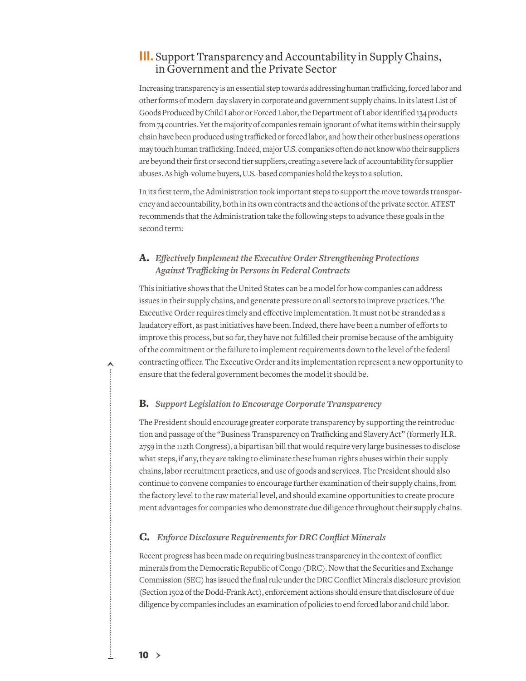# **III.** Support Transparency and Accountability in SupplyChains, in Government and the Private Sector

Increasing transparency is an essential step towards addressing human trafficking, forced labor and other forms of modern-day slavery in corporate and government supply chains. In its latest List of Goods Produced by Child Labor or Forced Labor, the Department of Labor identified 134 products from 74 countries. Yet the majority of companies remain ignorant of what items within their supply chain have been produced using trafficked or forced labor, and how their other business operations may touch human trafficking. Indeed, major U.S. companies often do not know who their suppliers are beyond their first or second tier suppliers, creating a severe lack of accountability for supplier abuses. As high-volume buyers, U.S.-based companies hold the keys to a solution.

In its first term, the Administration took important steps to support the move towards transparency and accountability, both in its own contracts and the actions of the private sector. ATEST recommends that the Administration take the following steps to advance these goals in the second term:

#### A. *Effectively Implement the Executive Order Strengthening Protections Against Trafficking in Personsin Federal Contracts*

This initiative shows that the United States can be a model for how companies can address issues in their supply chains, and generate pressure on all sectors to improve practices. The Executive Order requires timely and effective implementation. It must not be stranded as a laudatory effort, as past initiatives have been. Indeed, there have been a number of efforts to improve this process, but so far, they have not fulfilled their promise because of the ambiguity of the commitment or the failure to implement requirements down to the level of the federal contracting officer. The Executive Order and its implementation represent a new opportunity to ensure that the federal government becomes the model it should be.

#### B. *Support Legislation to Encourage Corporate Transparency*

The President should encourage greater corporate transparency by supporting the reintroduction and passage of the "Business Transparency on Trafficking and Slavery Act" (formerly H.R. 2759 in the 112th Congress), a bipartisan bill that would require very large businesses to disclose what steps, if any, they are taking to eliminate these human rights abuses within their supply chains, labor recruitment practices, and use of goods and services. The President should also continue to convene companies to encourage further examination of their supply chains, from the factory level to the raw material level, and should examine opportunities to create procurement advantages for companies who demonstrate due diligence throughout their supply chains.

#### C. *Enforce Disclosure Requirementsfor DRC Conflict Minerals*

Recent progress has been made on requiring business transparency in the context of conflict minerals from the Democratic Republic of Congo (DRC). Now that the Securities and Exchange Commission (SEC) has issued the final rule under the DRC Conflict Minerals disclosure provision (Section 1502 of the Dodd-Frank Act), enforcement actions should ensure that disclosure of due diligence by companies includes an examination of policies to end forced labor and child labor.

 $10 >$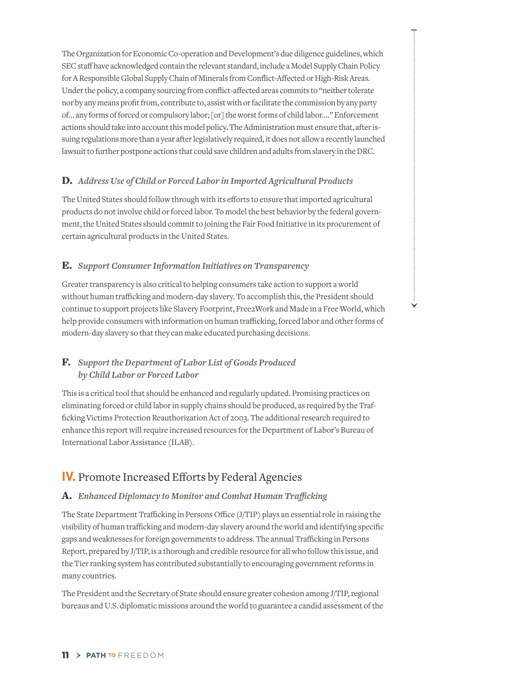The Organization for Economic Co-operation and Development's due diligence guidelines, which SEC staff have acknowledged contain the relevant standard, include a Model Supply Chain Policy for A Responsible Global Supply Chain of Minerals from Conflict-Affected or High-Risk Areas. Under the policy, a company sourcing from conflict-affected areas commits to "neither tolerate nor by any means profit from, contribute to, assist with or facilitate the commission by any party of… any forms of forced or compulsory labor; [or] the worst forms of child labor…." Enforcement actions should take into account this model policy. The Administration must ensure that, after issuing regulations more than a year after legislatively required, it does not allow a recently launched lawsuit to further postpone actions that could save children and adults from slavery in the DRC.

#### D. *Address Use of Child or Forced Labor in Imported Agricultural Products*

The United States should follow through with its efforts to ensure that imported agricultural products do not involve child or forced labor. To model the best behavior by the federal government, the United States should commit to joining the Fair Food Initiative in its procurement of certain agricultural products in the United States.

#### E. *Support Consumer Information Initiatives on Transparency*

Greater transparency is also critical to helping consumers take action to support a world without human trafficking and modern-day slavery. To accomplish this, the President should continue to support projects like Slavery Footprint, Free2Work and Made in a Free World, which help provide consumers with information on human trafficking, forced labor and other forms of modern-day slavery so that they can make educated purchasing decisions.

#### F. *Support the Department of Labor List of Goods Produced by Child Labor or Forced Labor*

This is a critical tool that should be enhanced and regularly updated. Promising practices on eliminating forced or child labor in supply chains should be produced, as required by the Trafficking Victims Protection Reauthorization Act of 2003. The additional research required to enhance this report will require increased resources for the Department of Labor's Bureau of International Labor Assistance (ILAB).

# **IV.** Promote Increased Efforts by Federal Agencies

#### A. *Enhanced Diplomacy to Monitor and Combat Human Trafficking*

The State Department Trafficking in Persons Office (J/TIP) plays an essential role in raising the visibility of human trafficking and modern-day slavery around the world and identifying specific gaps and weaknesses for foreign governments to address. The annual Trafficking in Persons Report, prepared by J/TIP, is a thorough and credible resource for all who follow this issue, and the Tier ranking system has contributed substantially to encouraging government reforms in many countries.

The President and the Secretary of State should ensure greater cohesion among J/TIP, regional bureaus and U.S. diplomatic missions around the world to guarantee a candid assessment of the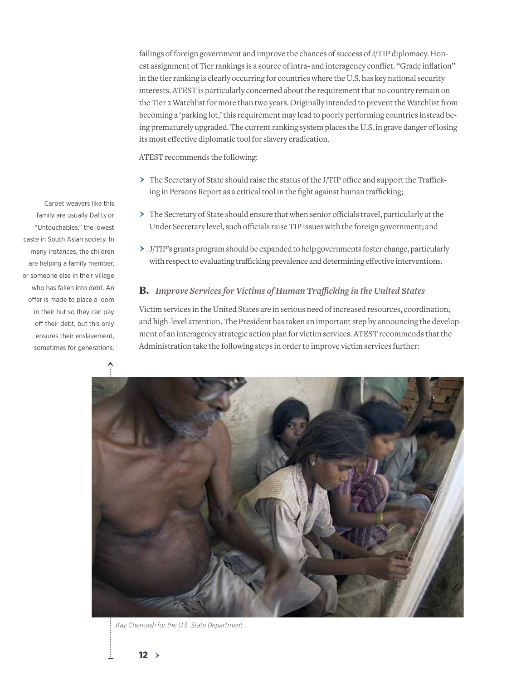failings of foreign government and improve the chances of success of J/TIP diplomacy. Honest assignment of Tier rankings is a source of intra- and interagency conflict. "Grade inflation" in the tier ranking is clearly occurring for countries where the U.S. has key national security interests. ATEST is particularly concerned about the requirement that no country remain on the Tier 2 Watchlist for more than two years. Originally intended to prevent the Watchlist from becoming a 'parking lot,' this requirement may lead to poorly performing countries instead being prematurely upgraded. The current ranking system places the U.S. in grave danger of losing its most effective diplomatic tool for slavery eradication.

ATEST recommends the following:

- › The Secretary of State should raise the status of the J/TIP office and support the Trafficking in Persons Report as a critical tool in the fight against human trafficking;
- › The Secretary of State should ensure that when senior officials travel, particularly at the Under Secretary level, such officials raise TIP issues with the foreign government; and
- › J/TIP's grants program should be expanded to help governments foster change, particularly with respect to evaluating trafficking prevalence and determining effective interventions.

#### B. *Improve Servicesfor Victims of Human Trafficking in the United States*

Victim services in the United States are in serious need of increased resources, coordination, and high-level attention. The President has taken an important step by announcing the development of an interagency strategic action plan for victim services. ATEST recommends that the Administration take the following steps in order to improve victim services further:



*Kay Chernush for the U.S. State Department.*

Carpet weavers like this family are usually Dalits or "Untouchables," the lowest caste in South Asian society. In many instances, the children are helping a family member, or someone else in their village who has fallen into debt. An offer is made to place a loom in their hut so they can pay off their debt, but this only ensures their enslavement, sometimes for generations.

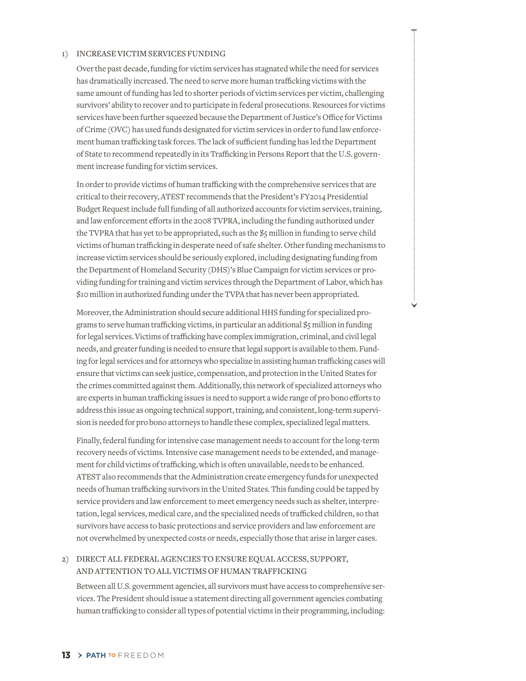#### 1) INCREASE VICTIM SERVICES FUNDING

Over the past decade, funding for victim services has stagnated while the need for services has dramatically increased. The need to serve more human trafficking victims with the same amount of funding has led to shorter periods of victim services per victim, challenging survivors' ability to recover and to participate in federal prosecutions. Resources for victims services have been further squeezed because the Department of Justice's Office for Victims of Crime (OVC) has used funds designated for victim services in order to fund law enforcement human trafficking task forces. The lack of sufficient funding has led the Department of State to recommend repeatedly in its Trafficking in Persons Report that the U.S. government increase funding for victim services.

In order to provide victims of human trafficking with the comprehensive services that are critical to their recovery, ATEST recommends that the President's FY2014 Presidential Budget Request include full funding of all authorized accounts for victim services, training, and law enforcement efforts in the 2008 TVPRA, including the funding authorized under the TVPRA that has yet to be appropriated, such as the \$5 million in funding to serve child victims of human trafficking in desperate need of safe shelter. Other funding mechanisms to increase victim services should be seriously explored, including designating funding from the Department of Homeland Security (DHS)'s Blue Campaign for victim services or providing funding for training and victim services through the Department of Labor, which has \$10 million in authorized funding under the TVPA that has never been appropriated.

Moreover, the Administration should secure additional HHS funding for specialized programs to serve human trafficking victims, in particular an additional \$5 million in funding for legal services. Victims of trafficking have complex immigration, criminal, and civil legal needs, and greater funding is needed to ensure that legal support is available to them. Funding for legal services and for attorneys who specialize in assisting human trafficking cases will ensure that victims can seek justice, compensation, and protection in the United States for the crimes committed against them. Additionally, this network of specialized attorneys who are experts in human trafficking issues is need to support a wide range of pro bono efforts to address this issue as ongoing technical support, training, and consistent, long-term supervision is needed for pro bono attorneys to handle these complex, specialized legal matters.

Finally, federal funding for intensive case management needs to account for the long-term recovery needs of victims. Intensive case management needs to be extended, and management for child victims of trafficking, which is often unavailable, needs to be enhanced. ATEST also recommends that the Administration create emergency funds for unexpected needs of human trafficking survivors in the United States. This funding could be tapped by service providers and law enforcement to meet emergency needs such as shelter, interpretation, legal services, medical care, and the specialized needs of trafficked children, so that survivors have access to basic protections and service providers and law enforcement are not overwhelmed by unexpected costs or needs, especially those that arise in larger cases.

#### 2) DIRECT ALL FEDERAL AGENCIES TO ENSURE EQUAL ACCESS, SUPPORT, and Attention to All Victims of Human Trafficking

Between all U.S. government agencies, all survivors must have access to comprehensive services. The President should issue a statement directing all government agencies combating human trafficking to consider all types of potential victims in their programming, including: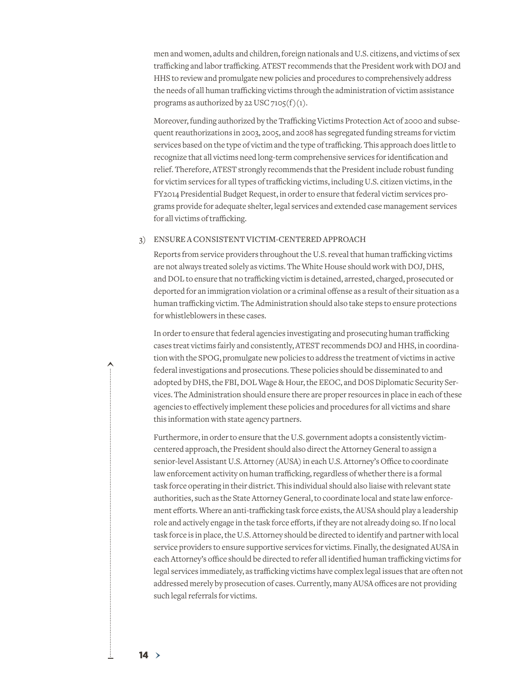men and women, adults and children, foreign nationals and U.S. citizens, and victims of sex trafficking and labor trafficking. ATEST recommends that the President work with DOJ and HHS to review and promulgate new policies and procedures to comprehensively address the needs of all human trafficking victims through the administration of victim assistance programs as authorized by 22 USC  $7105(f)(1)$ .

Moreover, funding authorized by the Trafficking Victims Protection Act of 2000 and subsequent reauthorizations in 2003, 2005, and 2008 has segregated funding streams for victim services based on the type of victim and the type of trafficking. This approach does little to recognize that all victims need long-term comprehensive services for identification and relief. Therefore, ATEST strongly recommends that the President include robust funding for victim services for all types of trafficking victims, including U.S. citizen victims, in the FY2014 Presidential Budget Request, in order to ensure that federal victim services programs provide for adequate shelter, legal services and extended case management services for all victims of trafficking.

#### 3) ENSURE A CONSISTENT VICTIM-CENTERED APPROACH

Reports from service providers throughout the U.S. reveal that human trafficking victims are not always treated solely as victims. The White House should work with DOJ, DHS, and DOL to ensure that no trafficking victim is detained, arrested, charged, prosecuted or deported for an immigration violation or a criminal offense as a result of their situation as a human trafficking victim. The Administration should also take steps to ensure protections for whistleblowers in these cases.

In order to ensure that federal agencies investigating and prosecuting human trafficking cases treat victims fairly and consistently, ATEST recommends DOJ and HHS, in coordination with the SPOG, promulgate new policies to address the treatment of victims in active federal investigations and prosecutions. These policies should be disseminated to and adopted by DHS, the FBI, DOL Wage & Hour, the EEOC, and DOS Diplomatic Security Services. The Administration should ensure there are proper resources in place in each of these agencies to effectively implement these policies and procedures for all victims and share this information with state agency partners.

Furthermore, in order to ensure that the U.S. government adopts a consistently victimcentered approach, the President should also direct the Attorney General to assign a senior-level Assistant U.S. Attorney (AUSA) in each U.S. Attorney's Office to coordinate law enforcement activity on human trafficking, regardless of whether there is a formal task force operating in their district. This individual should also liaise with relevant state authorities, such as the State Attorney General, to coordinate local and state law enforcement efforts. Where an anti-trafficking task force exists, the AUSA should play a leadership role and actively engage in the task force efforts, if they are not already doing so. If no local task force is in place, the U.S. Attorney should be directed to identify and partner with local service providers to ensure supportive services for victims. Finally, the designated AUSA in each Attorney's office should be directed to refer all identified human trafficking victims for legal services immediately, as trafficking victims have complex legal issues that are often not addressed merely by prosecution of cases. Currently, many AUSA offices are not providing such legal referrals for victims.

 $14 >$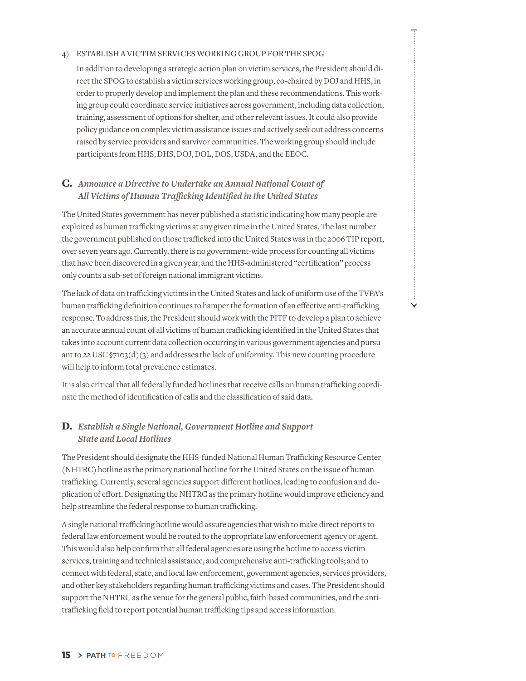#### 4) Establish a Victim Services Working Group for the SPOG

In addition to developing a strategic action plan on victim services, the President should direct the SPOG to establish a victim services working group, co-chaired by DOJ and HHS, in order to properly develop and implement the plan and these recommendations. This working group could coordinate service initiatives across government, including data collection, training, assessment of options for shelter, and other relevant issues. It could also provide policy guidance on complex victim assistance issues and actively seek out address concerns raised by service providers and survivor communities. The working group should include participants from HHS, DHS, DOJ, DOL, DOS, USDA, and the EEOC.

#### C. *Announce a Directive to Undertake an Annual National Count of All Victims of Human Trafficking Identified in the United States*

The United States government has never published a statistic indicating how many people are exploited as human trafficking victims at any given time in the United States. The last number the government published on those trafficked into the United States was in the 2006 TIP report, over seven years ago. Currently, there is no government-wide process for counting all victims that have been discovered in a given year, and the HHS-administered "certification" process only counts a sub-set of foreign national immigrant victims.

The lack of data on trafficking victims in the United States and lack of uniform use of the TVPA's human trafficking definition continues to hamper the formation of an effective anti-trafficking response. To address this, the President should work with the PITF to develop a plan to achieve an accurate annual count of all victims of human trafficking identified in the United States that takes into account current data collection occurring in various government agencies and pursuant to 22 USC §7103(d)(3) and addresses the lack of uniformity. This new counting procedure will help to inform total prevalence estimates.

It is also critical that all federally funded hotlines that receive calls on human trafficking coordinate the method of identification of calls and the classification of said data.

#### D. *Establish a Single National, Government Hotline and Support State and Local Hotlines*

The President should designate the HHS-funded National Human Trafficking Resource Center (NHTRC) hotline as the primary national hotline for the United States on the issue of human trafficking. Currently, several agencies support different hotlines, leading to confusion and duplication of effort. Designating the NHTRC as the primary hotline would improve efficiency and help streamline the federal response to human trafficking.

A single national trafficking hotline would assure agencies that wish to make direct reports to federal law enforcement would be routed to the appropriate law enforcement agency or agent. This would also help confirm that all federal agencies are using the hotline to access victim services, training and technical assistance, and comprehensive anti-trafficking tools; and to connect with federal, state, and local law enforcement, government agencies, services providers, and other key stakeholders regarding human trafficking victims and cases. The President should support the NHTRC as the venue for the general public, faith-based communities, and the antitrafficking field to report potential human trafficking tips and access information.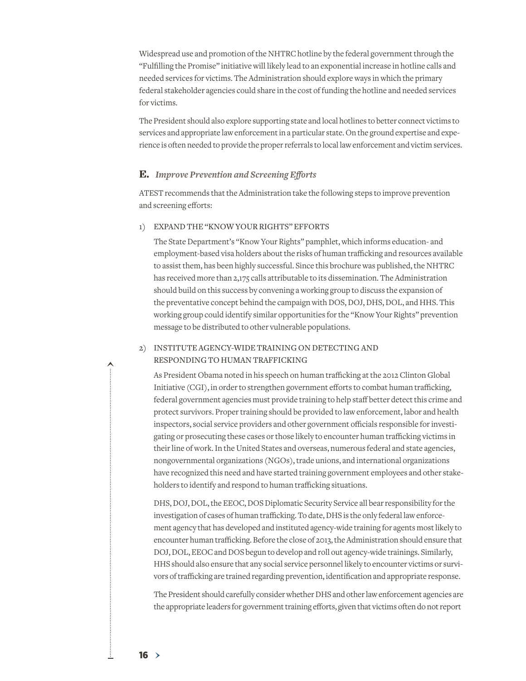Widespread use and promotion of the NHTRC hotline by the federal government through the "Fulfilling the Promise" initiative will likely lead to an exponential increase in hotline calls and needed services for victims. The Administration should explore ways in which the primary federal stakeholder agencies could share in the cost of funding the hotline and needed services for victims.

The President should also explore supporting state and local hotlines to better connect victims to services and appropriate law enforcement in a particular state. On the ground expertise and experience is often needed to provide the proper referrals to local law enforcement and victim services.

#### E. *Improve Prevention and Screening Efforts*

ATEST recommends that the Administration take the following steps to improve prevention and screening efforts:

#### 1) EXPAND THE "KNOW YOUR RIGHTS" EFFORTS

The State Department's "Know Your Rights" pamphlet, which informs education- and employment-based visa holders about the risks of human trafficking and resources available to assist them, has been highly successful. Since this brochure was published, the NHTRC has received more than 2,175 calls attributable to its dissemination. The Administration should build on this success by convening a working group to discuss the expansion of the preventative concept behind the campaign with DOS, DOJ, DHS, DOL, and HHS. This working group could identify similar opportunities for the "Know Your Rights" prevention message to be distributed to other vulnerable populations.

#### 2) INSTITUTE AGENCY-WIDE TRAINING ON DETECTING AND Responding to Human Trafficking

As President Obama noted in his speech on human trafficking at the 2012 Clinton Global Initiative (CGI), in order to strengthen government efforts to combat human trafficking, federal government agencies must provide training to help staff better detect this crime and protect survivors. Proper training should be provided to law enforcement, labor and health inspectors, social service providers and other government officials responsible for investigating or prosecuting these cases or those likely to encounter human trafficking victims in their line of work. In the United States and overseas, numerous federal and state agencies, nongovernmental organizations (NGOs), trade unions, and international organizations have recognized this need and have started training government employees and other stakeholders to identify and respond to human trafficking situations.

DHS, DOJ, DOL, the EEOC, DOS Diplomatic Security Service all bear responsibility for the investigation of cases of human trafficking. To date, DHS is the only federal law enforcement agency that has developed and instituted agency-wide training for agents most likely to encounter human trafficking. Before the close of 2013, the Administration should ensure that DOJ, DOL, EEOC and DOS begun to develop and roll out agency-wide trainings. Similarly, HHS should also ensure that any social service personnel likely to encounter victims or survivors of trafficking are trained regarding prevention, identification and appropriate response.

The President should carefully consider whether DHS and other law enforcement agencies are the appropriate leaders for government training efforts, given that victims often do not report

 $16 >$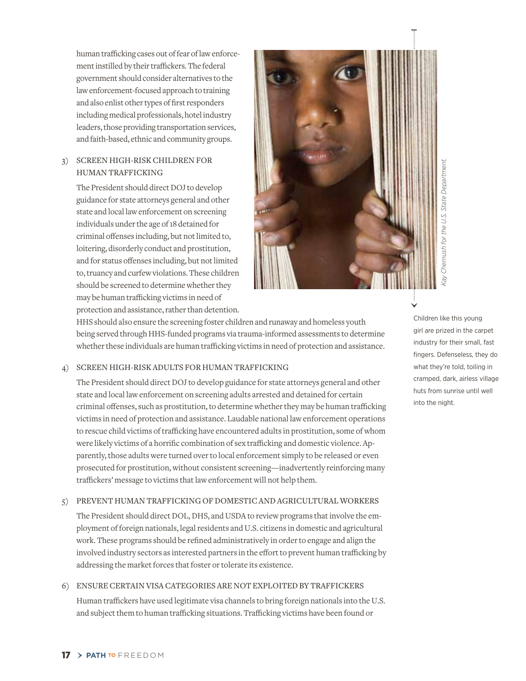human trafficking cases out of fear of law enforcement instilled by their traffickers. The federal government should consider alternatives to the law enforcement-focused approach to training and also enlist other types of first responders including medical professionals, hotel industry leaders, those providing transportation services, and faith-based, ethnic and community groups.

#### 3) Screen High-Risk Children for Human Trafficking

The President should direct DOJ to develop guidance for state attorneys general and other state and local law enforcement on screening individuals under the age of 18 detained for criminal offenses including, but not limited to, loitering, disorderly conduct and prostitution, and for status offenses including, but not limited to, truancy and curfew violations. These children should be screened to determine whether they may be human trafficking victims in need of protection and assistance, rather than detention.



HHS should also ensure the screening foster children and runaway and homeless youth being served through HHS-funded programs via trauma-informed assessments to determine whether these individuals are human trafficking victims in need of protection and assistance.

#### 4) Screen High-Risk Adults for Human Trafficking

The President should direct DOJ to develop guidance for state attorneys general and other state and local law enforcement on screening adults arrested and detained for certain criminal offenses, such as prostitution, to determine whether they may be human trafficking victims in need of protection and assistance. Laudable national law enforcement operations to rescue child victims of trafficking have encountered adults in prostitution, some of whom were likely victims of a horrific combination of sex trafficking and domestic violence. Apparently, those adults were turned over to local enforcement simply to be released or even prosecuted for prostitution, without consistent screening—inadvertently reinforcing many traffickers' message to victims that law enforcement will not help them.

#### 5) PREVENT HUMAN TRAFFICKING OF DOMESTIC AND AGRICULTURAL WORKERS

The President should direct DOL, DHS, and USDA to review programs that involve the employment of foreign nationals, legal residents and U.S. citizens in domestic and agricultural work. These programs should be refined administratively in order to engage and align the involved industry sectors as interested partners in the effort to prevent human trafficking by addressing the market forces that foster or tolerate its existence.

#### 6) Ensure Certain Visa Categories Are Not Exploited by Traffickers

Human traffickers have used legitimate visa channels to bring foreign nationals into the U.S. and subject them to human trafficking situations. Trafficking victims have been found or

Children like this young girl are prized in the carpet industry for their small, fast fingers. Defenseless, they do what they're told, toiling in cramped, dark, airless village huts from sunrise until well into the night.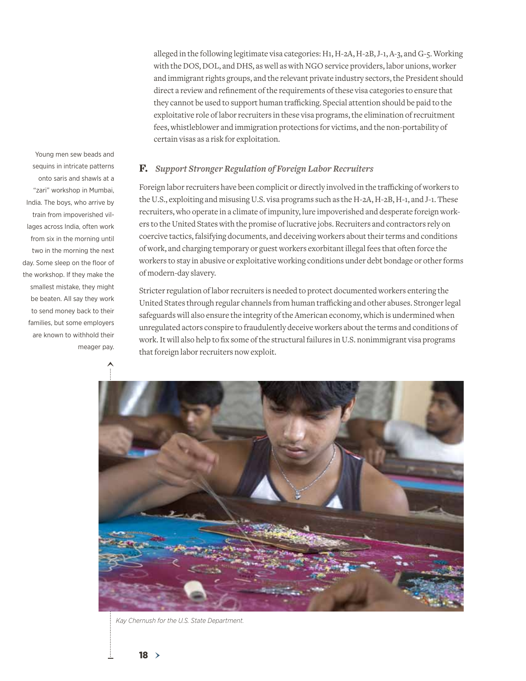alleged in the following legitimate visa categories: H1, H-2A, H-2B, J-1, A-3, and G-5. Working with the DOS, DOL, and DHS, as well as with NGO service providers, labor unions, worker and immigrant rights groups, and the relevant private industry sectors, the President should direct a review and refinement of the requirements of these visa categories to ensure that they cannot be used to support human trafficking. Special attention should be paid to the exploitative role of labor recruiters in these visa programs, the elimination of recruitment fees, whistleblower and immigration protections for victims, and the non-portability of certain visas as a risk for exploitation.

#### F. *Support Stronger Regulation of Foreign Labor Recruiters*

Foreign labor recruiters have been complicit or directly involved in the trafficking of workers to the U.S., exploiting and misusing U.S. visa programs such as the H-2A, H-2B, H-1, and J-1. These recruiters, who operate in a climate of impunity, lure impoverished and desperate foreign workers to the United States with the promise of lucrative jobs. Recruiters and contractors rely on coercive tactics, falsifying documents, and deceiving workers about their terms and conditions of work, and charging temporary or guest workers exorbitant illegal fees that often force the workers to stay in abusive or exploitative working conditions under debt bondage or other forms of modern-day slavery.

Stricter regulation of labor recruiters is needed to protect documented workers entering the United States through regular channels from human trafficking and other abuses. Stronger legal safeguards will also ensure the integrity of the American economy, which is undermined when unregulated actors conspire to fraudulently deceive workers about the terms and conditions of work. It will also help to fix some of the structural failures in U.S. nonimmigrant visa programs that foreign labor recruiters now exploit.



*Kay Chernush for the U.S. State Department.*

Young men sew beads and sequins in intricate patterns onto saris and shawls at a "zari" workshop in Mumbai, India. The boys, who arrive by train from impoverished villages across India, often work from six in the morning until two in the morning the next day. Some sleep on the floor of the workshop. If they make the smallest mistake, they might be beaten. All say they work to send money back to their families, but some employers are known to withhold their meager pay.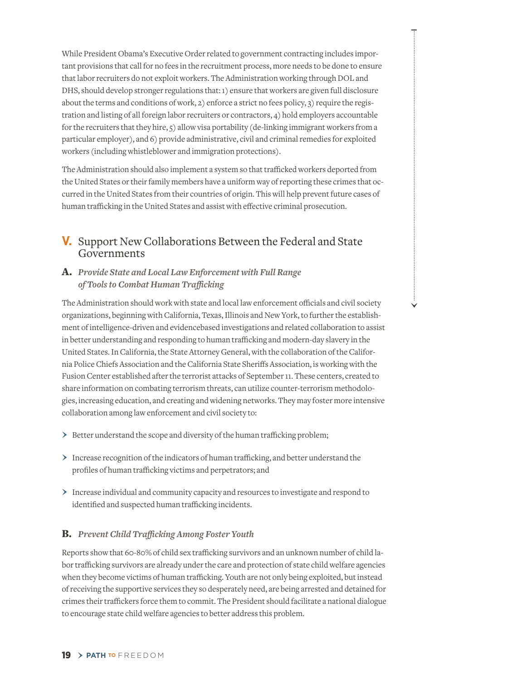While President Obama's Executive Order related to government contracting includes important provisions that call for no fees in the recruitment process, more needs to be done to ensure that labor recruiters do not exploit workers. The Administration working through DOL and DHS, should develop stronger regulations that: 1) ensure that workers are given full disclosure about the terms and conditions of work, 2) enforce a strict no fees policy, 3) require the registration and listing of all foreign labor recruiters or contractors, 4) hold employers accountable for the recruiters that they hire, 5) allow visa portability (de-linking immigrant workers from a particular employer), and 6) provide administrative, civil and criminal remedies for exploited workers (including whistleblower and immigration protections).

The Administration should also implement a system so that trafficked workers deported from the United States or their family members have a uniform way of reporting these crimes that occurred in the United States from their countries of origin. This will help prevent future cases of human trafficking in the United States and assist with effective criminal prosecution.

# **V.** Support New Collaborations Between the Federal and State Governments

#### A. *Provide State and Local Law Enforcement with Full Range of Toolsto Combat Human Trafficking*

The Administration should work with state and local law enforcement officials and civil society organizations, beginning with California, Texas, Illinois and New York, to further the establishment of intelligence-driven and evidencebased investigations and related collaboration to assist in better understanding and responding to human trafficking and modern-day slavery in the United States. In California, the State Attorney General, with the collaboration of the California Police Chiefs Association and the California State Sheriffs Association, is working with the Fusion Center established after the terrorist attacks of September 11. These centers, created to share information on combating terrorism threats, can utilize counter-terrorism methodologies, increasing education, and creating and widening networks. They may foster more intensive collaboration among law enforcement and civil society to:

- $\triangleright$  Better understand the scope and diversity of the human trafficking problem;
- › Increase recognition of the indicators of human trafficking, and better understand the profiles of human trafficking victims and perpetrators; and
- › Increase individual and community capacity and resources to investigate and respond to identified and suspected human trafficking incidents.

#### B. *Prevent Child Trafficking Among Foster Youth*

Reports show that 60-80% of child sex trafficking survivors and an unknown number of child labor trafficking survivors are already under the care and protection of state child welfare agencies when they become victims of human trafficking. Youth are not only being exploited, but instead of receiving the supportive services they so desperately need, are being arrested and detained for crimes their traffickers force them to commit. The President should facilitate a national dialogue to encourage state child welfare agencies to better address this problem.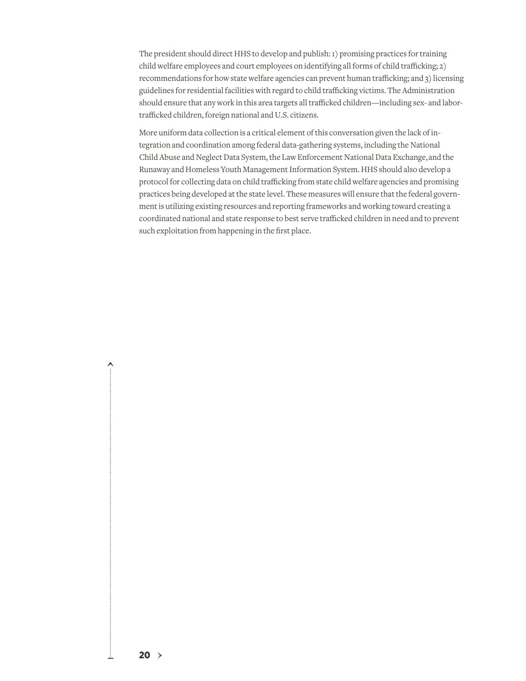The president should direct HHS to develop and publish: 1) promising practices for training child welfare employees and court employees on identifying all forms of child trafficking; 2) recommendations for how state welfare agencies can prevent human trafficking; and 3) licensing guidelines for residential facilities with regard to child trafficking victims. The Administration should ensure that any work in this area targets all trafficked children—including sex- and labortrafficked children, foreign national and U.S. citizens.

More uniform data collection is a critical element of this conversation given the lack of integration and coordination among federal data-gathering systems, including the National Child Abuse and Neglect Data System, the Law Enforcement National Data Exchange,and the Runaway and Homeless Youth Management Information System. HHS should also develop a protocol for collecting data on child trafficking from state child welfare agencies and promising practices being developed at the state level. These measures will ensure that the federal government is utilizing existing resources and reporting frameworks and working toward creating a coordinated national and state response to best serve trafficked children in need and to prevent such exploitation from happening in the first place.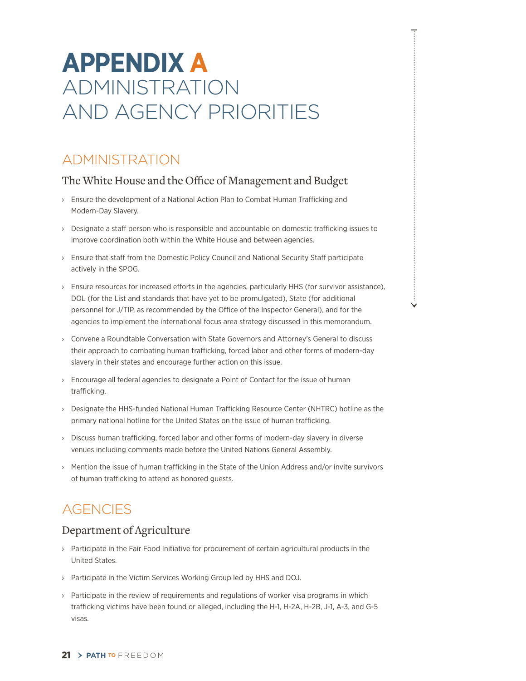# **Appendix A** Administration and Agency Priorities

# **ADMINISTRATION**

# The White House and the Office of Management and Budget

- › Ensure the development of a National Action Plan to Combat Human Trafficking and Modern-Day Slavery.
- › Designate a staff person who is responsible and accountable on domestic trafficking issues to improve coordination both within the White House and between agencies.
- › Ensure that staff from the Domestic Policy Council and National Security Staff participate actively in the SPOG.
- › Ensure resources for increased efforts in the agencies, particularly HHS (for survivor assistance), DOL (for the List and standards that have yet to be promulgated), State (for additional personnel for J/TIP, as recommended by the Office of the Inspector General), and for the agencies to implement the international focus area strategy discussed in this memorandum.
- › Convene a Roundtable Conversation with State Governors and Attorney's General to discuss their approach to combating human trafficking, forced labor and other forms of modern-day slavery in their states and encourage further action on this issue.
- › Encourage all federal agencies to designate a Point of Contact for the issue of human trafficking.
- › Designate the HHS-funded National Human Trafficking Resource Center (NHTRC) hotline as the primary national hotline for the United States on the issue of human trafficking.
- › Discuss human trafficking, forced labor and other forms of modern-day slavery in diverse venues including comments made before the United Nations General Assembly.
- › Mention the issue of human trafficking in the State of the Union Address and/or invite survivors of human trafficking to attend as honored guests.

# **AGENCIES**

# Department of Agriculture

- › Participate in the Fair Food Initiative for procurement of certain agricultural products in the United States.
- › Participate in the Victim Services Working Group led by HHS and DOJ.
- $\rightarrow$  Participate in the review of requirements and regulations of worker visa programs in which trafficking victims have been found or alleged, including the H-1, H-2A, H-2B, J-1, A-3, and G-5 visas.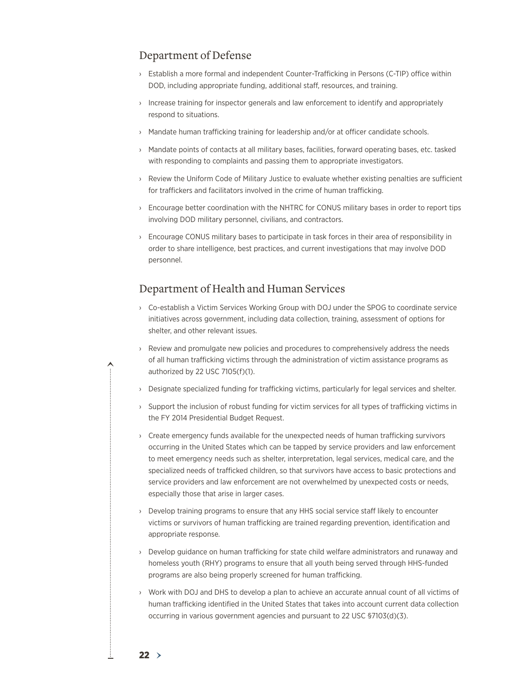### Department of Defense

- › Establish a more formal and independent Counter-Trafficking in Persons (C-TIP) office within DOD, including appropriate funding, additional staff, resources, and training.
- › Increase training for inspector generals and law enforcement to identify and appropriately respond to situations.
- › Mandate human trafficking training for leadership and/or at officer candidate schools.
- › Mandate points of contacts at all military bases, facilities, forward operating bases, etc. tasked with responding to complaints and passing them to appropriate investigators.
- › Review the Uniform Code of Military Justice to evaluate whether existing penalties are sufficient for traffickers and facilitators involved in the crime of human trafficking.
- › Encourage better coordination with the NHTRC for CONUS military bases in order to report tips involving DOD military personnel, civilians, and contractors.
- › Encourage CONUS military bases to participate in task forces in their area of responsibility in order to share intelligence, best practices, and current investigations that may involve DOD personnel.

# Department of Health and Human Services

- › Co-establish a Victim Services Working Group with DOJ under the SPOG to coordinate service initiatives across government, including data collection, training, assessment of options for shelter, and other relevant issues.
- › Review and promulgate new policies and procedures to comprehensively address the needs of all human trafficking victims through the administration of victim assistance programs as authorized by 22 USC 7105(f)(1).
- › Designate specialized funding for trafficking victims, particularly for legal services and shelter.
- › Support the inclusion of robust funding for victim services for all types of trafficking victims in the FY 2014 Presidential Budget Request.
- › Create emergency funds available for the unexpected needs of human trafficking survivors occurring in the United States which can be tapped by service providers and law enforcement to meet emergency needs such as shelter, interpretation, legal services, medical care, and the specialized needs of trafficked children, so that survivors have access to basic protections and service providers and law enforcement are not overwhelmed by unexpected costs or needs, especially those that arise in larger cases.
- › Develop training programs to ensure that any HHS social service staff likely to encounter victims or survivors of human trafficking are trained regarding prevention, identification and appropriate response.
- › Develop guidance on human trafficking for state child welfare administrators and runaway and homeless youth (RHY) programs to ensure that all youth being served through HHS-funded programs are also being properly screened for human trafficking.
- › Work with DOJ and DHS to develop a plan to achieve an accurate annual count of all victims of human trafficking identified in the United States that takes into account current data collection occurring in various government agencies and pursuant to 22 USC §7103(d)(3).

 $22 >$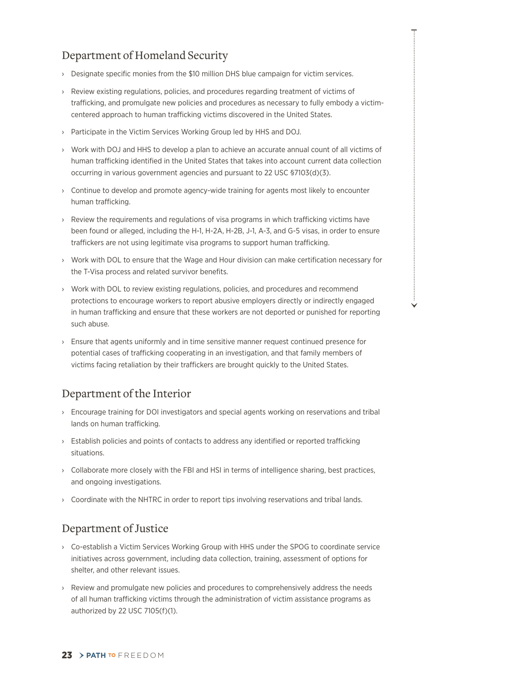# Department of Homeland Security

- › Designate specific monies from the \$10 million DHS blue campaign for victim services.
- › Review existing regulations, policies, and procedures regarding treatment of victims of trafficking, and promulgate new policies and procedures as necessary to fully embody a victimcentered approach to human trafficking victims discovered in the United States.
- › Participate in the Victim Services Working Group led by HHS and DOJ.
- › Work with DOJ and HHS to develop a plan to achieve an accurate annual count of all victims of human trafficking identified in the United States that takes into account current data collection occurring in various government agencies and pursuant to 22 USC §7103(d)(3).
- › Continue to develop and promote agency-wide training for agents most likely to encounter human trafficking.
- › Review the requirements and regulations of visa programs in which trafficking victims have been found or alleged, including the H-1, H-2A, H-2B, J-1, A-3, and G-5 visas, in order to ensure traffickers are not using legitimate visa programs to support human trafficking.
- › Work with DOL to ensure that the Wage and Hour division can make certification necessary for the T-Visa process and related survivor benefits.
- › Work with DOL to review existing regulations, policies, and procedures and recommend protections to encourage workers to report abusive employers directly or indirectly engaged in human trafficking and ensure that these workers are not deported or punished for reporting such abuse.
- › Ensure that agents uniformly and in time sensitive manner request continued presence for potential cases of trafficking cooperating in an investigation, and that family members of victims facing retaliation by their traffickers are brought quickly to the United States.

# Department of the Interior

- › Encourage training for DOI investigators and special agents working on reservations and tribal lands on human trafficking.
- › Establish policies and points of contacts to address any identified or reported trafficking situations.
- › Collaborate more closely with the FBI and HSI in terms of intelligence sharing, best practices, and ongoing investigations.
- › Coordinate with the NHTRC in order to report tips involving reservations and tribal lands.

# Department of Justice

- › Co-establish a Victim Services Working Group with HHS under the SPOG to coordinate service initiatives across government, including data collection, training, assessment of options for shelter, and other relevant issues.
- › Review and promulgate new policies and procedures to comprehensively address the needs of all human trafficking victims through the administration of victim assistance programs as authorized by 22 USC 7105(f)(1).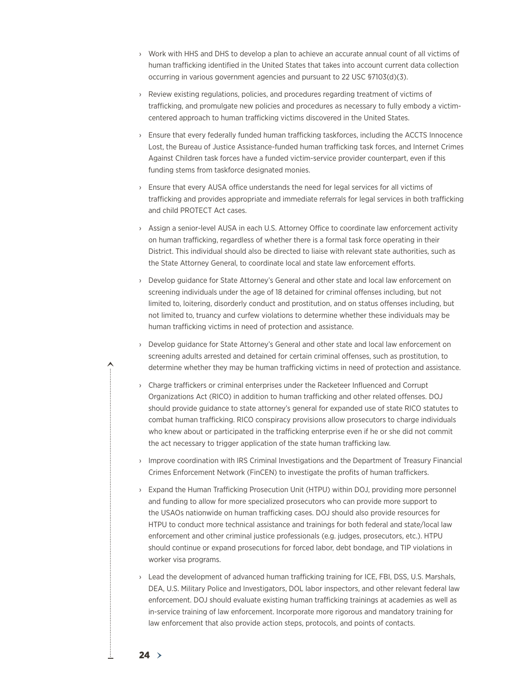- › Work with HHS and DHS to develop a plan to achieve an accurate annual count of all victims of human trafficking identified in the United States that takes into account current data collection occurring in various government agencies and pursuant to 22 USC §7103(d)(3).
- › Review existing regulations, policies, and procedures regarding treatment of victims of trafficking, and promulgate new policies and procedures as necessary to fully embody a victimcentered approach to human trafficking victims discovered in the United States.
- › Ensure that every federally funded human trafficking taskforces, including the ACCTS Innocence Lost, the Bureau of Justice Assistance-funded human trafficking task forces, and Internet Crimes Against Children task forces have a funded victim-service provider counterpart, even if this funding stems from taskforce designated monies.
- › Ensure that every AUSA office understands the need for legal services for all victims of trafficking and provides appropriate and immediate referrals for legal services in both trafficking and child PROTECT Act cases.
- › Assign a senior-level AUSA in each U.S. Attorney Office to coordinate law enforcement activity on human trafficking, regardless of whether there is a formal task force operating in their District. This individual should also be directed to liaise with relevant state authorities, such as the State Attorney General, to coordinate local and state law enforcement efforts.
- › Develop guidance for State Attorney's General and other state and local law enforcement on screening individuals under the age of 18 detained for criminal offenses including, but not limited to, loitering, disorderly conduct and prostitution, and on status offenses including, but not limited to, truancy and curfew violations to determine whether these individuals may be human trafficking victims in need of protection and assistance.
- › Develop guidance for State Attorney's General and other state and local law enforcement on screening adults arrested and detained for certain criminal offenses, such as prostitution, to determine whether they may be human trafficking victims in need of protection and assistance.
- › Charge traffickers or criminal enterprises under the Racketeer Influenced and Corrupt Organizations Act (RICO) in addition to human trafficking and other related offenses. DOJ should provide guidance to state attorney's general for expanded use of state RICO statutes to combat human trafficking. RICO conspiracy provisions allow prosecutors to charge individuals who knew about or participated in the trafficking enterprise even if he or she did not commit the act necessary to trigger application of the state human trafficking law.
- › Improve coordination with IRS Criminal Investigations and the Department of Treasury Financial Crimes Enforcement Network (FinCEN) to investigate the profits of human traffickers.
- › Expand the Human Trafficking Prosecution Unit (HTPU) within DOJ, providing more personnel and funding to allow for more specialized prosecutors who can provide more support to the USAOs nationwide on human trafficking cases. DOJ should also provide resources for HTPU to conduct more technical assistance and trainings for both federal and state/local law enforcement and other criminal justice professionals (e.g. judges, prosecutors, etc.). HTPU should continue or expand prosecutions for forced labor, debt bondage, and TIP violations in worker visa programs.
- › Lead the development of advanced human trafficking training for ICE, FBI, DSS, U.S. Marshals, DEA, U.S. Military Police and Investigators, DOL labor inspectors, and other relevant federal law enforcement. DOJ should evaluate existing human trafficking trainings at academies as well as in-service training of law enforcement. Incorporate more rigorous and mandatory training for law enforcement that also provide action steps, protocols, and points of contacts.

 $24$ 

∧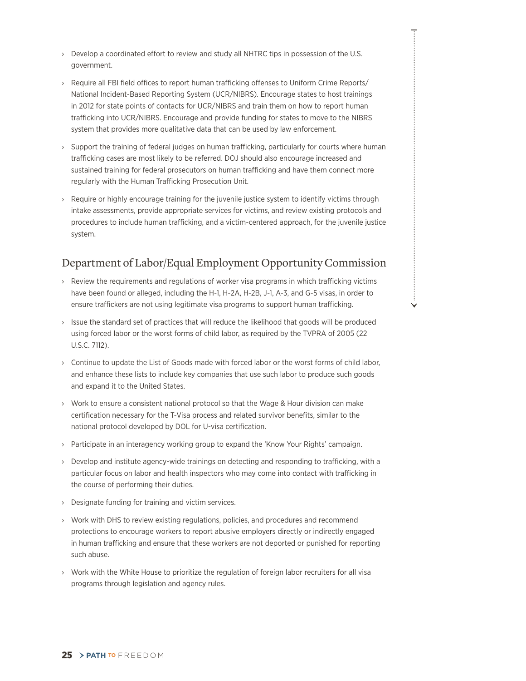- › Develop a coordinated effort to review and study all NHTRC tips in possession of the U.S. government.
- › Require all FBI field offices to report human trafficking offenses to Uniform Crime Reports/ National Incident-Based Reporting System (UCR/NIBRS). Encourage states to host trainings in 2012 for state points of contacts for UCR/NIBRS and train them on how to report human trafficking into UCR/NIBRS. Encourage and provide funding for states to move to the NIBRS system that provides more qualitative data that can be used by law enforcement.
- › Support the training of federal judges on human trafficking, particularly for courts where human trafficking cases are most likely to be referred. DOJ should also encourage increased and sustained training for federal prosecutors on human trafficking and have them connect more regularly with the Human Trafficking Prosecution Unit.
- › Require or highly encourage training for the juvenile justice system to identify victims through intake assessments, provide appropriate services for victims, and review existing protocols and procedures to include human trafficking, and a victim-centered approach, for the juvenile justice system.

# Department of Labor/Equal Employment OpportunityCommission

- › Review the requirements and regulations of worker visa programs in which trafficking victims have been found or alleged, including the H-1, H-2A, H-2B, J-1, A-3, and G-5 visas, in order to ensure traffickers are not using legitimate visa programs to support human trafficking.
- › Issue the standard set of practices that will reduce the likelihood that goods will be produced using forced labor or the worst forms of child labor, as required by the TVPRA of 2005 (22 U.S.C. 7112).
- › Continue to update the List of Goods made with forced labor or the worst forms of child labor, and enhance these lists to include key companies that use such labor to produce such goods and expand it to the United States.
- › Work to ensure a consistent national protocol so that the Wage & Hour division can make certification necessary for the T-Visa process and related survivor benefits, similar to the national protocol developed by DOL for U-visa certification.
- › Participate in an interagency working group to expand the 'Know Your Rights' campaign.
- › Develop and institute agency-wide trainings on detecting and responding to trafficking, with a particular focus on labor and health inspectors who may come into contact with trafficking in the course of performing their duties.
- › Designate funding for training and victim services.
- › Work with DHS to review existing regulations, policies, and procedures and recommend protections to encourage workers to report abusive employers directly or indirectly engaged in human trafficking and ensure that these workers are not deported or punished for reporting such abuse.
- › Work with the White House to prioritize the regulation of foreign labor recruiters for all visa programs through legislation and agency rules.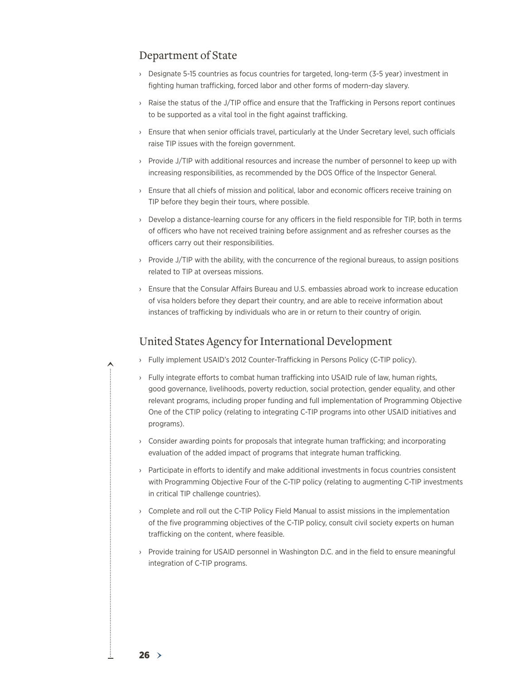### Department of State

- › Designate 5-15 countries as focus countries for targeted, long-term (3-5 year) investment in fighting human trafficking, forced labor and other forms of modern-day slavery.
- › Raise the status of the J/TIP office and ensure that the Trafficking in Persons report continues to be supported as a vital tool in the fight against trafficking.
- › Ensure that when senior officials travel, particularly at the Under Secretary level, such officials raise TIP issues with the foreign government.
- › Provide J/TIP with additional resources and increase the number of personnel to keep up with increasing responsibilities, as recommended by the DOS Office of the Inspector General.
- › Ensure that all chiefs of mission and political, labor and economic officers receive training on TIP before they begin their tours, where possible.
- › Develop a distance-learning course for any officers in the field responsible for TIP, both in terms of officers who have not received training before assignment and as refresher courses as the officers carry out their responsibilities.
- › Provide J/TIP with the ability, with the concurrence of the regional bureaus, to assign positions related to TIP at overseas missions.
- › Ensure that the Consular Affairs Bureau and U.S. embassies abroad work to increase education of visa holders before they depart their country, and are able to receive information about instances of trafficking by individuals who are in or return to their country of origin.

#### United States Agency for International Development

- › Fully implement USAID's 2012 Counter-Trafficking in Persons Policy (C-TIP policy).
- › Fully integrate efforts to combat human trafficking into USAID rule of law, human rights, good governance, livelihoods, poverty reduction, social protection, gender equality, and other relevant programs, including proper funding and full implementation of Programming Objective One of the CTIP policy (relating to integrating C-TIP programs into other USAID initiatives and programs).
- › Consider awarding points for proposals that integrate human trafficking; and incorporating evaluation of the added impact of programs that integrate human trafficking.
- › Participate in efforts to identify and make additional investments in focus countries consistent with Programming Objective Four of the C-TIP policy (relating to augmenting C-TIP investments in critical TIP challenge countries).
- › Complete and roll out the C-TIP Policy Field Manual to assist missions in the implementation of the five programming objectives of the C-TIP policy, consult civil society experts on human trafficking on the content, where feasible.
- › Provide training for USAID personnel in Washington D.C. and in the field to ensure meaningful integration of C-TIP programs.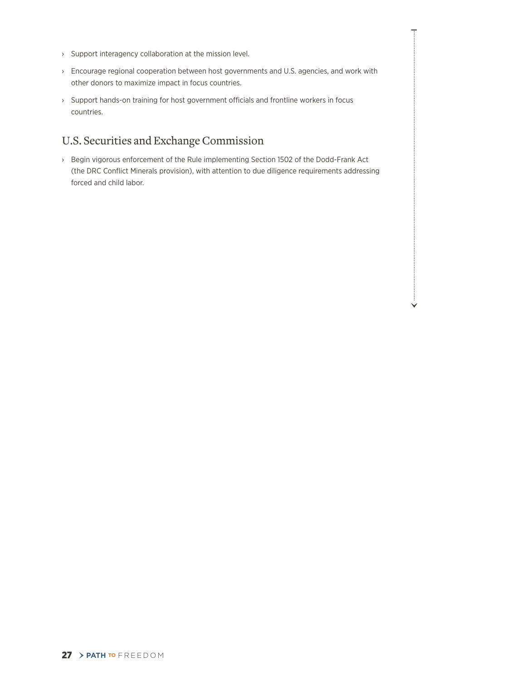- › Support interagency collaboration at the mission level.
- › Encourage regional cooperation between host governments and U.S. agencies, and work with other donors to maximize impact in focus countries.
- › Support hands-on training for host government officials and frontline workers in focus countries.

# U.S. Securities and Exchange Commission

› Begin vigorous enforcement of the Rule implementing Section 1502 of the Dodd-Frank Act (the DRC Conflict Minerals provision), with attention to due diligence requirements addressing forced and child labor.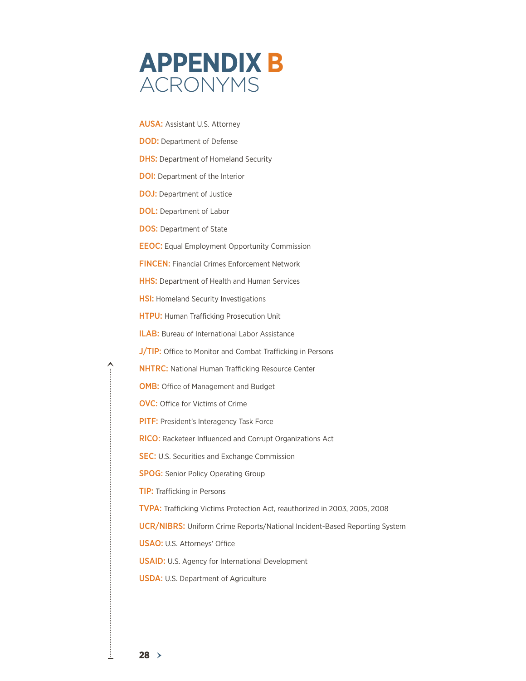

AUSA: Assistant U.S. Attorney **DOD:** Department of Defense **DHS:** Department of Homeland Security **DOI:** Department of the Interior DOJ: Department of Justice DOL: Department of Labor **DOS: Department of State** EEOC: Equal Employment Opportunity Commission FinCEN: Financial Crimes Enforcement Network **HHS:** Department of Health and Human Services **HSI:** Homeland Security Investigations HTPU: Human Trafficking Prosecution Unit ILAB: Bureau of International Labor Assistance J/TIP: Office to Monitor and Combat Trafficking in Persons NHTRC: National Human Trafficking Resource Center OMB: Office of Management and Budget OVC: Office for Victims of Crime PITF: President's Interagency Task Force RICO: Racketeer Influenced and Corrupt Organizations Act **SEC:** U.S. Securities and Exchange Commission **SPOG:** Senior Policy Operating Group TIP: Trafficking in Persons TVPA: Trafficking Victims Protection Act, reauthorized in 2003, 2005, 2008 UCR/NIBRS: Uniform Crime Reports/National Incident-Based Reporting System USAO: U.S. Attorneys' Office USAID: U.S. Agency for International Development **USDA: U.S. Department of Agriculture** 

ㅅ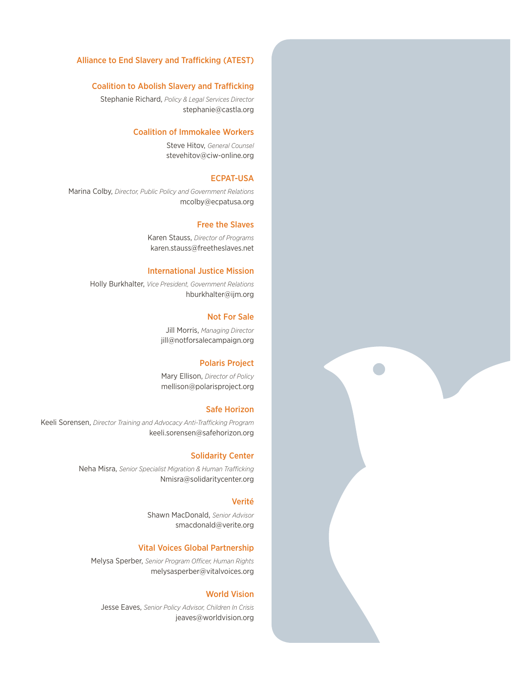#### Alliance to End Slavery and Trafficking (ATEST)

#### Coalition to Abolish Slavery and Trafficking

Stephanie Richard, *Policy & Legal Services Director* stephanie@castla.org

#### Coalition of Immokalee Workers

Steve Hitov, *General Counsel* stevehitov@ciw-online.org

#### ECPAT-USA

Marina Colby, *Director, Public Policy and Government Relations* mcolby@ecpatusa.org

#### Free the Slaves

Karen Stauss, *Director of Programs* karen.stauss@freetheslaves.net

#### International Justice Mission

Holly Burkhalter, *Vice President, Government Relations* hburkhalter@ijm.org

#### Not For Sale

Jill Morris, *Managing Director* jill@notforsalecampaign.org

#### Polaris Project

Mary Ellison, *Director of Policy* mellison@polarisproject.org

#### Safe Horizon

Keeli Sorensen, *Director Training and Advocacy Anti-Trafficking Program* keeli.sorensen@safehorizon.org

#### Solidarity Center

Neha Misra, *Senior Specialist Migration & Human Trafficking* Nmisra@solidaritycenter.org

#### Verité

Shawn MacDonald, *Senior Advisor* smacdonald@verite.org

#### Vital Voices Global Partnership

Melysa Sperber, *Senior Program Officer, Human Rights* melysasperber@vitalvoices.org

#### World Vision

Jesse Eaves, *Senior Policy Advisor, Children In Crisis* jeaves@worldvision.org